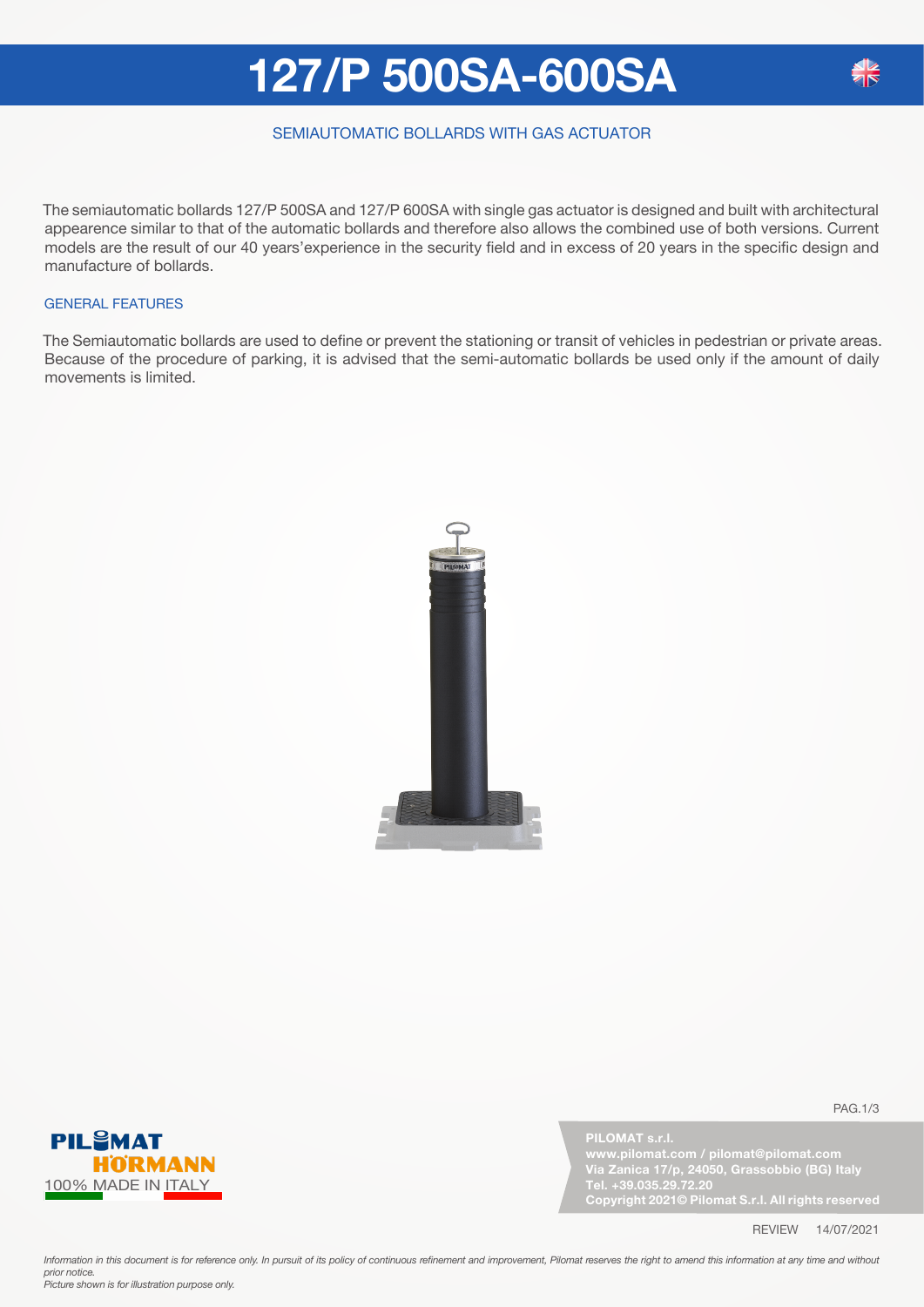## **127/P 500SA-600SA**

### SEMIAUTOMATIC BOLLARDS WITH GAS ACTUATOR

The semiautomatic bollards 127/P 500SA and 127/P 600SA with single gas actuator is designed and built with architectural appearence similar to that of the automatic bollards and therefore also allows the combined use of both versions. Current models are the result of our 40 years'experience in the security field and in excess of 20 years in the specific design and manufacture of bollards.

#### GENERAL FEATURES

The Semiautomatic bollards are used to define or prevent the stationing or transit of vehicles in pedestrian or private areas. Because of the procedure of parking, it is advised that the semi-automatic bollards be used only if the amount of daily movements is limited.





**PILOMAT s.r.l.**

**Via Zanica 17/p, 24050, Grassobbio (BG) Italy Tel. +39.035.29.72.20 Copyright 2021© Pilomat S.r.l. All rights reserved**

PAG.1/3

REVIEW 14/07/2021

Information in this document is for reference only. In pursuit of its policy of continuous refinement and improvement, Pilomat reserves the right to amend this information at any time and without *prior notice. Picture shown is for illustration purpose only.*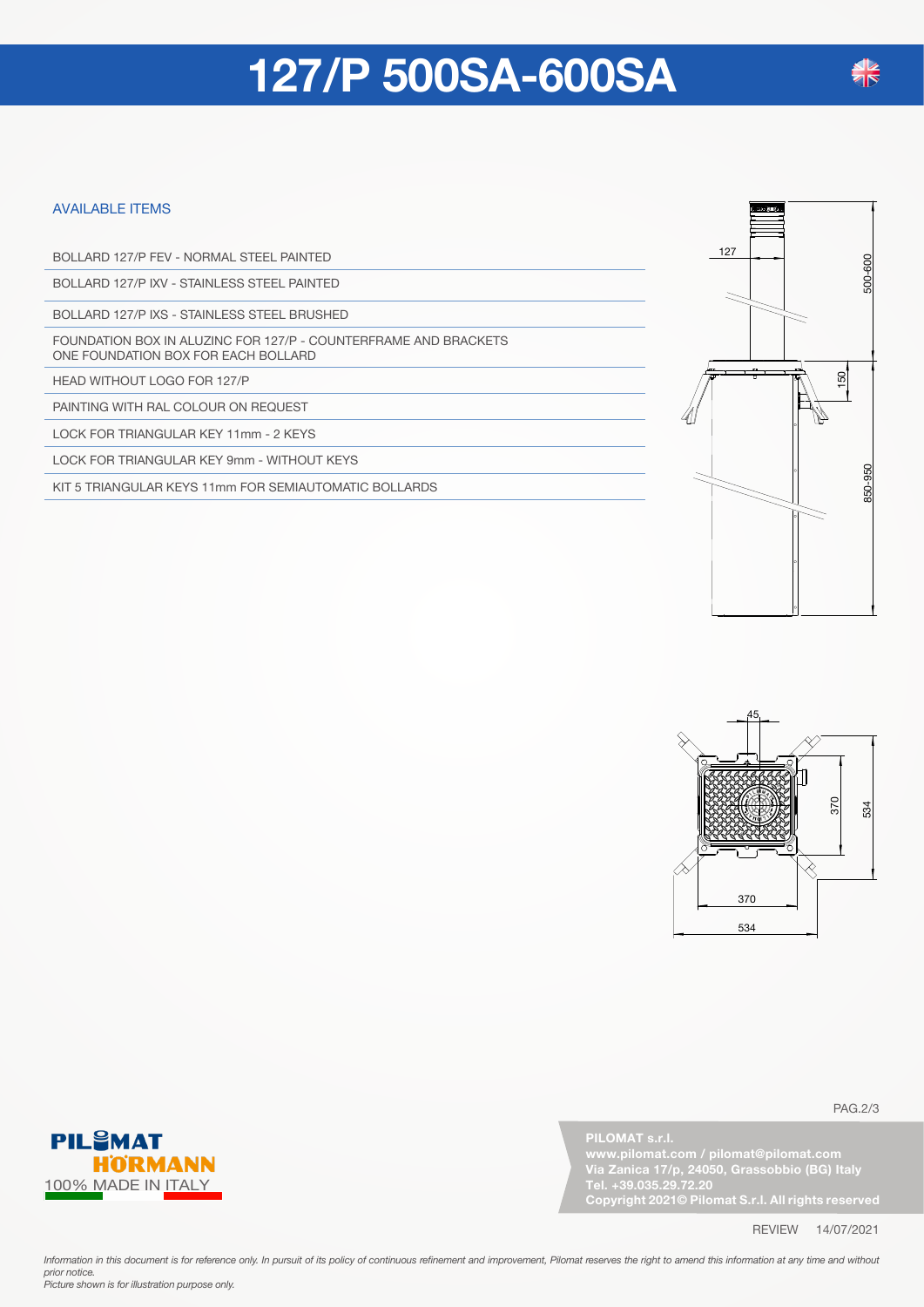## **127/P 500SA-600SA**

#### AVAILABLE ITEMS

BOLLARD 127/P FEV - NORMAL STEEL PAINTED

BOLLARD 127/P IXV - STAINLESS STEEL PAINTED

BOLLARD 127/P IXS - STAINLESS STEEL BRUSHED

FOUNDATION BOX IN ALUZINC FOR 127/P - COUNTERFRAME AND BRACKETS ONE FOUNDATION BOX FOR EACH BOLLARD

HEAD WITHOUT LOGO FOR 127/P

PAINTING WITH RAL COLOUR ON REQUEST

LOCK FOR TRIANGULAR KEY 11mm - 2 KEYS

LOCK FOR TRIANGULAR KEY 9mm - WITHOUT KEYS

KIT 5 TRIANGULAR KEYS 11mm FOR SEMIAUTOMATIC BOLLARDS





PAG.2/3



**PILOMAT s.r.l.**

**Via Zanica 17/p, 24050, Grassobbio (BG) Italy Tel. +39.035.29.72.20 Copyright 2021© Pilomat S.r.l. All rights reserved**

REVIEW 14/07/2021

Information in this document is for reference only. In pursuit of its policy of continuous refinement and improvement, Pilomat reserves the right to amend this information at any time and without *prior notice. Picture shown is for illustration purpose only.*